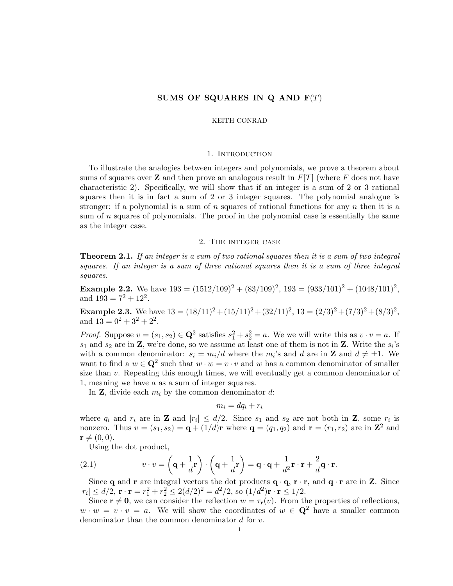# SUMS OF SQUARES IN Q AND  $F(T)$

#### KEITH CONRAD

### 1. INTRODUCTION

To illustrate the analogies between integers and polynomials, we prove a theorem about sums of squares over **Z** and then prove an analogous result in  $F[T]$  (where F does not have characteristic 2). Specifically, we will show that if an integer is a sum of 2 or 3 rational squares then it is in fact a sum of 2 or 3 integer squares. The polynomial analogue is stronger: if a polynomial is a sum of n squares of rational functions for any  $n$  then it is a sum of n squares of polynomials. The proof in the polynomial case is essentially the same as the integer case.

#### 2. The integer case

**Theorem 2.1.** If an integer is a sum of two rational squares then it is a sum of two integral squares. If an integer is a sum of three rational squares then it is a sum of three integral squares.

**Example 2.2.** We have  $193 = (1512/109)^2 + (83/109)^2$ ,  $193 = (933/101)^2 + (1048/101)^2$ , and  $193 = 7^2 + 12^2$ .

**Example 2.3.** We have  $13 = (18/11)^2 + (15/11)^2 + (32/11)^2$ ,  $13 = (2/3)^2 + (7/3)^2 + (8/3)^2$ , and  $13 = 0^2 + 3^2 + 2^2$ .

*Proof.* Suppose  $v = (s_1, s_2) \in \mathbb{Q}^2$  satisfies  $s_1^2 + s_2^2 = a$ . We we will write this as  $v \cdot v = a$ . If  $s_1$  and  $s_2$  are in **Z**, we're done, so we assume at least one of them is not in **Z**. Write the  $s_i$ 's with a common denominator:  $s_i = m_i/d$  where the  $m_i$ 's and d are in **Z** and  $d \neq \pm 1$ . We want to find a  $w \in \mathbb{Q}^2$  such that  $w \cdot w = v \cdot v$  and w has a common denominator of smaller size than  $v$ . Repeating this enough times, we will eventually get a common denominator of 1, meaning we have a as a sum of integer squares.

In **Z**, divide each  $m_i$  by the common denominator d:

$$
m_i = dq_i + r_i
$$

where  $q_i$  and  $r_i$  are in **Z** and  $|r_i| \leq d/2$ . Since  $s_1$  and  $s_2$  are not both in **Z**, some  $r_i$  is nonzero. Thus  $v = (s_1, s_2) = \mathbf{q} + (1/d)\mathbf{r}$  where  $\mathbf{q} = (q_1, q_2)$  and  $\mathbf{r} = (r_1, r_2)$  are in  $\mathbf{Z}^2$  and  $\mathbf{r} \neq (0, 0).$ 

<span id="page-0-0"></span>Using the dot product,

(2.1) 
$$
v \cdot v = \left(\mathbf{q} + \frac{1}{d}\mathbf{r}\right) \cdot \left(\mathbf{q} + \frac{1}{d}\mathbf{r}\right) = \mathbf{q} \cdot \mathbf{q} + \frac{1}{d^2}\mathbf{r} \cdot \mathbf{r} + \frac{2}{d}\mathbf{q} \cdot \mathbf{r}.
$$

Since q and r are integral vectors the dot products  $\mathbf{q} \cdot \mathbf{q}$ ,  $\mathbf{r} \cdot \mathbf{r}$ , and  $\mathbf{q} \cdot \mathbf{r}$  are in Z. Since  $|r_i| \le d/2$ ,  $\mathbf{r} \cdot \mathbf{r} = r_1^2 + r_2^2 \le 2(d/2)^2 = d^2/2$ , so  $(1/d^2)\mathbf{r} \cdot \mathbf{r} \le 1/2$ .

Since  $\mathbf{r} \neq \mathbf{0}$ , we can consider the reflection  $w = \tau_{\mathbf{r}}(v)$ . From the properties of reflections,  $w \cdot w = v \cdot v = a$ . We will show the coordinates of  $w \in \mathbb{Q}^2$  have a smaller common denominator than the common denominator d for v.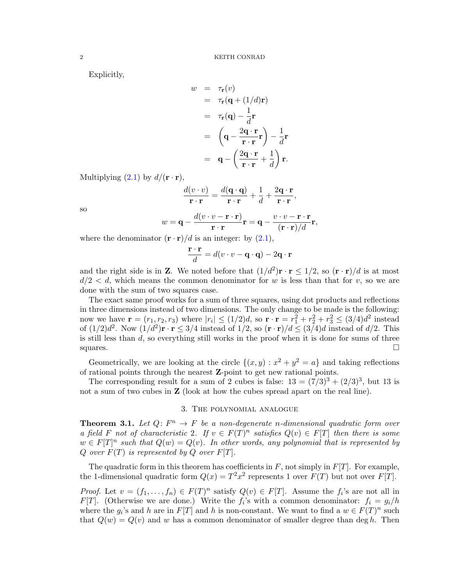Explicitly,

$$
w = \tau_{\mathbf{r}}(v)
$$
  
\n
$$
= \tau_{\mathbf{r}}(\mathbf{q} + (1/d)\mathbf{r})
$$
  
\n
$$
= \tau_{\mathbf{r}}(\mathbf{q}) - \frac{1}{d}\mathbf{r}
$$
  
\n
$$
= \left(\mathbf{q} - \frac{2\mathbf{q} \cdot \mathbf{r}}{\mathbf{r} \cdot \mathbf{r}}\mathbf{r}\right) - \frac{1}{d}\mathbf{r}
$$
  
\n
$$
= \mathbf{q} - \left(\frac{2\mathbf{q} \cdot \mathbf{r}}{\mathbf{r} \cdot \mathbf{r}} + \frac{1}{d}\right)\mathbf{r}.
$$

Multiplying  $(2.1)$  by  $d/(\mathbf{r} \cdot \mathbf{r})$ ,

$$
\frac{d(v \cdot v)}{\mathbf{r} \cdot \mathbf{r}} = \frac{d(\mathbf{q} \cdot \mathbf{q})}{\mathbf{r} \cdot \mathbf{r}} + \frac{1}{d} + \frac{2\mathbf{q} \cdot \mathbf{r}}{\mathbf{r} \cdot \mathbf{r}},
$$

$$
= \mathbf{q} - \frac{d(v \cdot v - \mathbf{r} \cdot \mathbf{r})}{\mathbf{r} \cdot \mathbf{r}} \mathbf{r} = \mathbf{q} - \frac{v \cdot v - \mathbf{r} \cdot \mathbf{r}}{(\mathbf{r} \cdot \mathbf{r})/d} \mathbf{r},
$$

so

$$
w = \mathbf{q} - \frac{w(v - v - 1)\mathbf{r}}{\mathbf{r} \cdot \mathbf{r}}\mathbf{r} = \mathbf{q} - \frac{v(v - 1)\mathbf{r}}{(\mathbf{r} \cdot \mathbf{r})/d}
$$

where the denominator  $(\mathbf{r} \cdot \mathbf{r})/d$  is an integer: by  $(2.1)$ ,

$$
\frac{\mathbf{r} \cdot \mathbf{r}}{d} = d(v \cdot v - \mathbf{q} \cdot \mathbf{q}) - 2\mathbf{q} \cdot \mathbf{r}
$$

and the right side is in **Z**. We noted before that  $(1/d^2)\mathbf{r} \cdot \mathbf{r} \leq 1/2$ , so  $(\mathbf{r} \cdot \mathbf{r})/d$  is at most  $d/2 < d$ , which means the common denominator for w is less than that for v, so we are done with the sum of two squares case.

The exact same proof works for a sum of three squares, using dot products and reflections in three dimensions instead of two dimensions. The only change to be made is the following: now we have  $\mathbf{r} = (r_1, r_2, r_3)$  where  $|r_i| \leq (1/2)d$ , so  $\mathbf{r} \cdot \mathbf{r} = r_1^2 + r_2^2 + r_3^2 \leq (3/4)d^2$  instead of  $(1/2)d^2$ . Now  $(1/d^2)\mathbf{r} \cdot \mathbf{r} \leq 3/4$  instead of  $1/2$ , so  $(\mathbf{r} \cdot \mathbf{r})/d \leq (3/4)d$  instead of  $d/2$ . This is still less than  $d$ , so everything still works in the proof when it is done for sums of three squares.  $\Box$ 

Geometrically, we are looking at the circle  $\{(x, y) : x^2 + y^2 = a\}$  and taking reflections of rational points through the nearest Z-point to get new rational points.

The corresponding result for a sum of 2 cubes is false:  $13 = (7/3)^3 + (2/3)^3$ , but 13 is not a sum of two cubes in **Z** (look at how the cubes spread apart on the real line).

## 3. The polynomial analogue

<span id="page-1-0"></span>**Theorem 3.1.** Let  $Q: F^n \to F$  be a non-degenerate n-dimensional quadratic form over a field F not of characteristic 2. If  $v \in F(T)^n$  satisfies  $Q(v) \in F[T]$  then there is some  $w \in F[T]^n$  such that  $Q(w) = Q(v)$ . In other words, any polynomial that is represented by Q over  $F(T)$  is represented by Q over  $F[T]$ .

The quadratic form in this theorem has coefficients in  $F$ , not simply in  $F[T]$ . For example, the 1-dimensional quadratic form  $Q(x) = T^2x^2$  represents 1 over  $F(T)$  but not over  $F[T]$ .

*Proof.* Let  $v = (f_1, \ldots, f_n) \in F(T)^n$  satisfy  $Q(v) \in F[T]$ . Assume the  $f_i$ 's are not all in F[T]. (Otherwise we are done.) Write the  $f_i$ 's with a common denominator:  $f_i = g_i/h$ where the  $g_i$ 's and h are in  $F[T]$  and h is non-constant. We want to find a  $w \in F(T)^n$  such that  $Q(w) = Q(v)$  and w has a common denominator of smaller degree than deg h. Then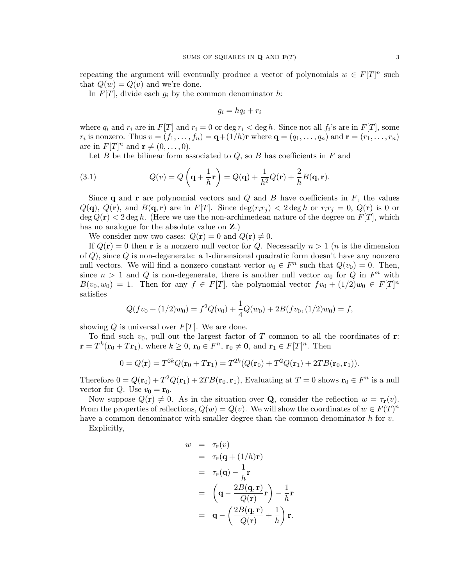repeating the argument will eventually produce a vector of polynomials  $w \in F[T]^n$  such that  $Q(w) = Q(v)$  and we're done.

In  $F[T]$ , divide each  $g_i$  by the common denominator h:

$$
g_i = hq_i + r_i
$$

where  $q_i$  and  $r_i$  are in  $F[T]$  and  $r_i = 0$  or  $\deg r_i < \deg h$ . Since not all  $f_i$ 's are in  $F[T]$ , some  $r_i$  is nonzero. Thus  $v = (f_1, \ldots, f_n) = \mathbf{q} + (1/h)\mathbf{r}$  where  $\mathbf{q} = (q_1, \ldots, q_n)$  and  $\mathbf{r} = (r_1, \ldots, r_n)$ are in  $F[T]^n$  and  $\mathbf{r} \neq (0, \ldots, 0)$ .

<span id="page-2-0"></span>Let  $B$  be the bilinear form associated to  $Q$ , so  $B$  has coefficients in  $F$  and

(3.1) 
$$
Q(v) = Q\left(\mathbf{q} + \frac{1}{h}\mathbf{r}\right) = Q(\mathbf{q}) + \frac{1}{h^2}Q(\mathbf{r}) + \frac{2}{h}B(\mathbf{q}, \mathbf{r}).
$$

Since q and r are polynomial vectors and  $Q$  and  $B$  have coefficients in  $F$ , the values  $Q(\mathbf{q})$ ,  $Q(\mathbf{r})$ , and  $B(\mathbf{q}, \mathbf{r})$  are in  $F[T]$ . Since  $\deg(r_i r_j) < 2 \deg h$  or  $r_i r_j = 0$ ,  $Q(\mathbf{r})$  is 0 or  $\deg Q(\mathbf{r}) < 2 \deg h$ . (Here we use the non-archimedean nature of the degree on  $F[T]$ , which has no analogue for the absolute value on Z.)

We consider now two cases:  $Q(\mathbf{r}) = 0$  and  $Q(\mathbf{r}) \neq 0$ .

If  $Q(\mathbf{r}) = 0$  then r is a nonzero null vector for Q. Necessarily  $n > 1$  (*n* is the dimension of Q), since Q is non-degenerate: a 1-dimensional quadratic form doesn't have any nonzero null vectors. We will find a nonzero constant vector  $v_0 \in F^n$  such that  $Q(v_0) = 0$ . Then, since  $n > 1$  and Q is non-degenerate, there is another null vector  $w_0$  for Q in  $F^n$  with  $B(v_0, w_0) = 1$ . Then for any  $f \in F[T]$ , the polynomial vector  $fv_0 + (1/2)w_0 \in F[T]^n$ satisfies

$$
Q(fv_0 + (1/2)w_0) = f^2 Q(v_0) + \frac{1}{4}Q(w_0) + 2B(fv_0, (1/2)w_0) = f,
$$

showing Q is universal over  $F[T]$ . We are done.

To find such  $v_0$ , pull out the largest factor of T common to all the coordinates of r:  $\mathbf{r} = T^k(\mathbf{r}_0 + T\mathbf{r}_1)$ , where  $k \geq 0$ ,  $\mathbf{r}_0 \in F^n$ ,  $\mathbf{r}_0 \neq \mathbf{0}$ , and  $\mathbf{r}_1 \in F[T]^n$ . Then

$$
0 = Q(\mathbf{r}) = T^{2k}Q(\mathbf{r}_0 + T\mathbf{r}_1) = T^{2k}(Q(\mathbf{r}_0) + T^2Q(\mathbf{r}_1) + 2TB(\mathbf{r}_0, \mathbf{r}_1)).
$$

Therefore  $0 = Q(\mathbf{r}_0) + T^2 Q(\mathbf{r}_1) + 2TB(\mathbf{r}_0, \mathbf{r}_1)$ , Evaluating at  $T = 0$  shows  $\mathbf{r}_0 \in F^n$  is a null vector for Q. Use  $v_0 = \mathbf{r}_0$ .

Now suppose  $Q(\mathbf{r}) \neq 0$ . As in the situation over **Q**, consider the reflection  $w = \tau_{\mathbf{r}}(v)$ . From the properties of reflections,  $Q(w) = Q(v)$ . We will show the coordinates of  $w \in F(T)^n$ have a common denominator with smaller degree than the common denominator  $h$  for  $v$ .

Explicitly,

$$
w = \tau_{\mathbf{r}}(v)
$$
  
\n
$$
= \tau_{\mathbf{r}}(\mathbf{q} + (1/h)\mathbf{r})
$$
  
\n
$$
= \tau_{\mathbf{r}}(\mathbf{q}) - \frac{1}{h}\mathbf{r}
$$
  
\n
$$
= \left(\mathbf{q} - \frac{2B(\mathbf{q}, \mathbf{r})}{Q(\mathbf{r})}\mathbf{r}\right) - \frac{1}{h}\mathbf{r}
$$
  
\n
$$
= \mathbf{q} - \left(\frac{2B(\mathbf{q}, \mathbf{r})}{Q(\mathbf{r})} + \frac{1}{h}\right)\mathbf{r}.
$$